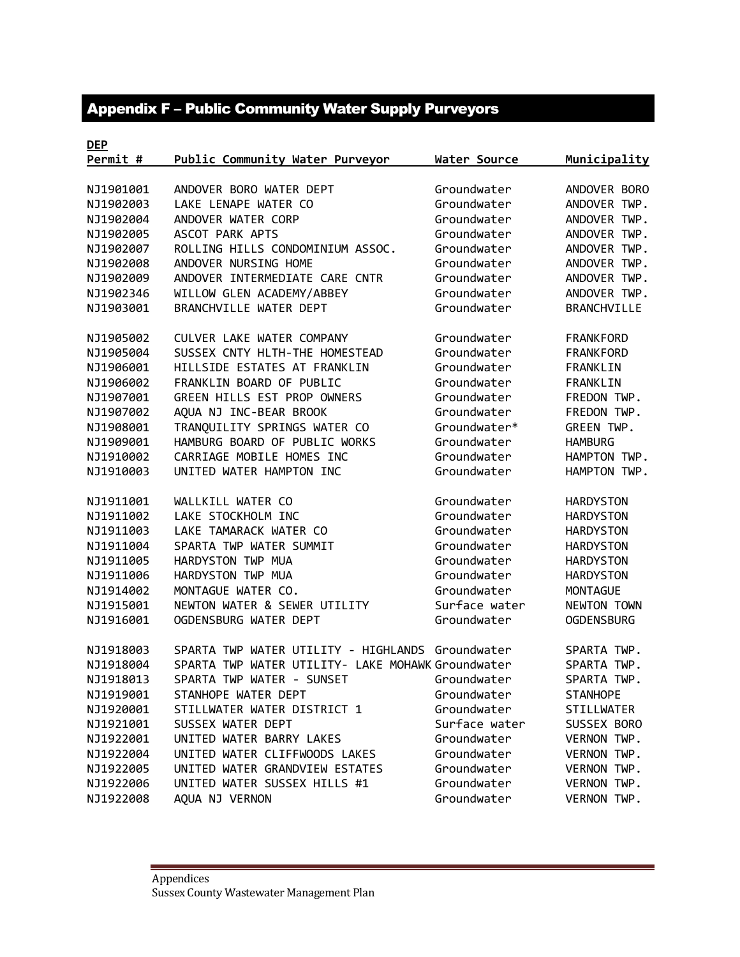## Appendix F – Public Community Water Supply Purveyors

| <b>DEP</b> |                                                   |               |                    |
|------------|---------------------------------------------------|---------------|--------------------|
| Permit #   | Public Community Water Purveyor                   | Water Source  | Municipality       |
|            |                                                   |               |                    |
| NJ1901001  | ANDOVER BORO WATER DEPT                           | Groundwater   | ANDOVER BORO       |
| NJ1902003  | LAKE LENAPE WATER CO                              | Groundwater   | ANDOVER TWP.       |
| NJ1902004  | ANDOVER WATER CORP                                | Groundwater   | ANDOVER TWP.       |
| NJ1902005  | ASCOT PARK APTS                                   | Groundwater   | ANDOVER TWP.       |
| NJ1902007  | ROLLING HILLS CONDOMINIUM ASSOC.                  | Groundwater   | ANDOVER TWP.       |
| NJ1902008  | ANDOVER NURSING HOME                              | Groundwater   | ANDOVER TWP.       |
| NJ1902009  | ANDOVER INTERMEDIATE CARE CNTR                    | Groundwater   | ANDOVER TWP.       |
| NJ1902346  | WILLOW GLEN ACADEMY/ABBEY                         | Groundwater   | ANDOVER TWP.       |
| NJ1903001  | BRANCHVILLE WATER DEPT                            | Groundwater   | <b>BRANCHVILLE</b> |
| NJ1905002  | CULVER LAKE WATER COMPANY                         | Groundwater   | <b>FRANKFORD</b>   |
| NJ1905004  | SUSSEX CNTY HLTH-THE HOMESTEAD                    | Groundwater   | <b>FRANKFORD</b>   |
| NJ1906001  | HILLSIDE ESTATES AT FRANKLIN                      | Groundwater   | FRANKLIN           |
| NJ1906002  | FRANKLIN BOARD OF PUBLIC                          | Groundwater   | FRANKLIN           |
| NJ1907001  | GREEN HILLS EST PROP OWNERS                       | Groundwater   | FREDON TWP.        |
| NJ1907002  | AQUA NJ INC-BEAR BROOK                            | Groundwater   | FREDON TWP.        |
| NJ1908001  | TRANQUILITY SPRINGS WATER CO                      | Groundwater*  | GREEN TWP.         |
| NJ1909001  | HAMBURG BOARD OF PUBLIC WORKS                     | Groundwater   | <b>HAMBURG</b>     |
| NJ1910002  | CARRIAGE MOBILE HOMES INC                         | Groundwater   | HAMPTON TWP.       |
| NJ1910003  | UNITED WATER HAMPTON INC                          | Groundwater   | HAMPTON TWP.       |
| NJ1911001  | WALLKILL WATER CO                                 | Groundwater   | <b>HARDYSTON</b>   |
| NJ1911002  | LAKE STOCKHOLM INC                                | Groundwater   | <b>HARDYSTON</b>   |
| NJ1911003  | LAKE TAMARACK WATER CO                            | Groundwater   | <b>HARDYSTON</b>   |
| NJ1911004  | SPARTA TWP WATER SUMMIT                           | Groundwater   | <b>HARDYSTON</b>   |
| NJ1911005  | HARDYSTON TWP MUA                                 | Groundwater   | <b>HARDYSTON</b>   |
| NJ1911006  | HARDYSTON TWP MUA                                 | Groundwater   | <b>HARDYSTON</b>   |
| NJ1914002  | MONTAGUE WATER CO.                                | Groundwater   | <b>MONTAGUE</b>    |
| NJ1915001  | NEWTON WATER & SEWER UTILITY                      | Surface water | NEWTON TOWN        |
| NJ1916001  | OGDENSBURG WATER DEPT                             | Groundwater   | <b>OGDENSBURG</b>  |
| NJ1918003  | SPARTA TWP WATER UTILITY - HIGHLANDS Groundwater  |               | SPARTA TWP.        |
| NJ1918004  | SPARTA TWP WATER UTILITY- LAKE MOHAWK Groundwater |               | SPARTA TWP.        |
| NJ1918013  | SPARTA TWP WATER - SUNSET                         | Groundwater   | SPARTA TWP.        |
| NJ1919001  | STANHOPE WATER DEPT                               | Groundwater   | <b>STANHOPE</b>    |
| NJ1920001  | STILLWATER WATER DISTRICT 1                       | Groundwater   | <b>STILLWATER</b>  |
| NJ1921001  | SUSSEX WATER DEPT                                 | Surface water | SUSSEX BORO        |
| NJ1922001  | UNITED WATER BARRY LAKES                          | Groundwater   | VERNON TWP.        |
| NJ1922004  | UNITED WATER CLIFFWOODS LAKES                     | Groundwater   | VERNON TWP.        |
| NJ1922005  | UNITED WATER GRANDVIEW ESTATES                    | Groundwater   | VERNON TWP.        |
| NJ1922006  | UNITED WATER SUSSEX HILLS #1                      | Groundwater   | VERNON TWP.        |
| NJ1922008  | AQUA NJ VERNON                                    | Groundwater   | VERNON TWP.        |